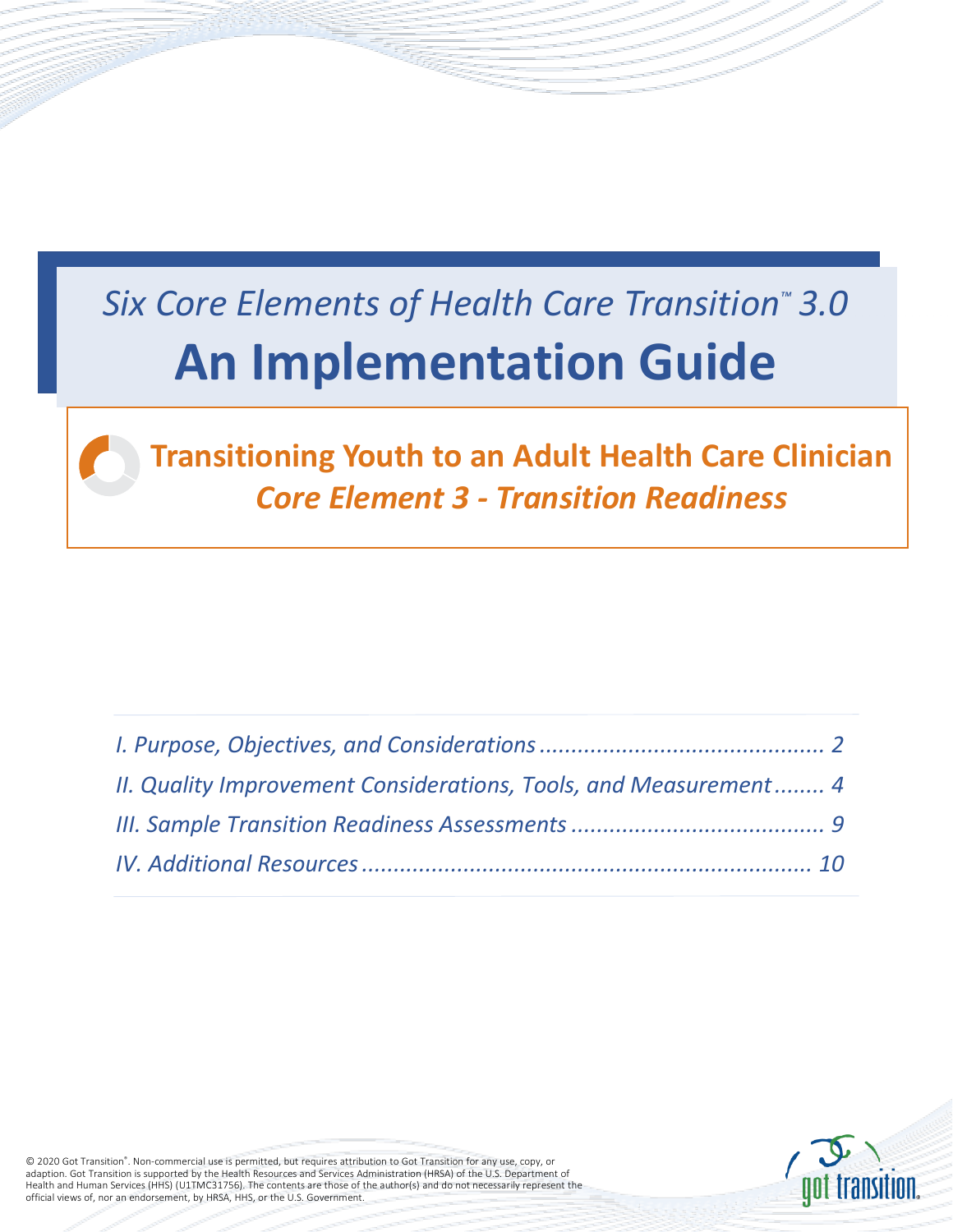# *Six Core Elements of Health Care Transition™ 3.0*  **An Implementation Guide**



**Transitioning Youth to an Adult Health Care Clinician** *Core Element 3 - Transition Readiness*

| II. Quality Improvement Considerations, Tools, and Measurement 4 |  |
|------------------------------------------------------------------|--|
|                                                                  |  |
|                                                                  |  |



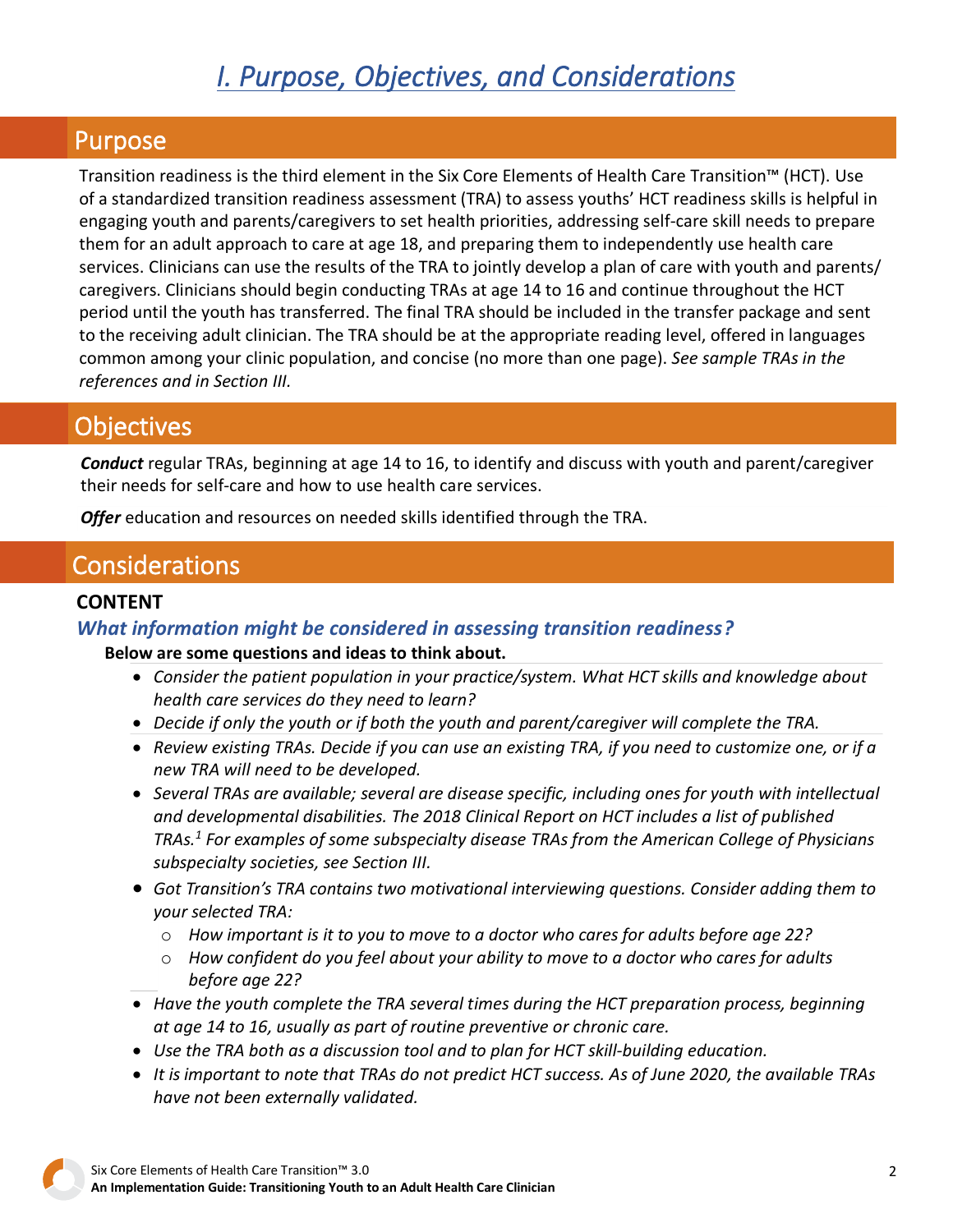## *I. Purpose, Objectives, and Considerations*

#### <span id="page-1-0"></span>Purpose

Transition readiness is the third element in the Six Core Elements of Health Care Transition™ (HCT). Use of a standardized transition readiness assessment (TRA) to assess youths' HCT readiness skills is helpful in engaging youth and parents/caregivers to set health priorities, addressing self-care skill needs to prepare them for an adult approach to care at age 18, and preparing them to independently use health care services. Clinicians can use the results of the TRA to jointly develop a plan of care with youth and parents/ caregivers. Clinicians should begin conducting TRAs at age 14 to 16 and continue throughout the HCT period until the youth has transferred. The final TRA should be included in the transfer package and sent to the receiving adult clinician. The TRA should be at the appropriate reading level, offered in languages common among your clinic population, and concise (no more than one page). *See [sample TRAs in](#page-8-0) the references and [in Section III.](#page-8-0)*

## **Objectives**

*Conduct* regular TRAs, beginning at age 14 to 16, to identify and discuss with youth and parent/caregiver their needs for self-care and how to use health care services.

*Offer* education and resources on needed skills identified through the TRA.

## **Considerations**

#### **CONTENT**

#### *What information might be considered in assessing transition readiness?*

#### **Below are some questions and ideas to think about.**

- *Consider the patient population in your practice/system. What HCT skills and knowledge about health care services do they need to learn?*
- *Decide if only the youth or if both the youth and parent/caregiver will complete the TRA.*
- Review existing TRAs. Decide if you can use an existing TRA, if you need to customize one, or if a *new TRA will need to be developed.*
- *Several TRAs are available; several are disease specific, including ones for youth with intellectual and developmental disabilities. The 2018 Clinical Report on HCT includes a list of published TRAs.<sup>1</sup> For examples of some subspecialty disease TRAs from the American College of Physicians subspecialty societies, see Section III.*
- *Got Transition's TRA contains two motivational interviewing questions. Consider adding them to your selected TRA:*
	- o *How important is it to you to move to a doctor who cares for adults before age 22?*
	- o *How confident do you feel about your ability to move to a doctor who cares for adults before age 22?*
- *Have the youth complete the TRA several times during the HCT preparation process, beginning at age 14 to 16, usually as part of routine preventive or chronic care.*
- *Use the TRA both as a discussion tool and to plan for HCT skill-building education.*
- It is important to note that TRAs do not predict HCT success. As of June 2020, the available TRAs *have not been externally validated.*

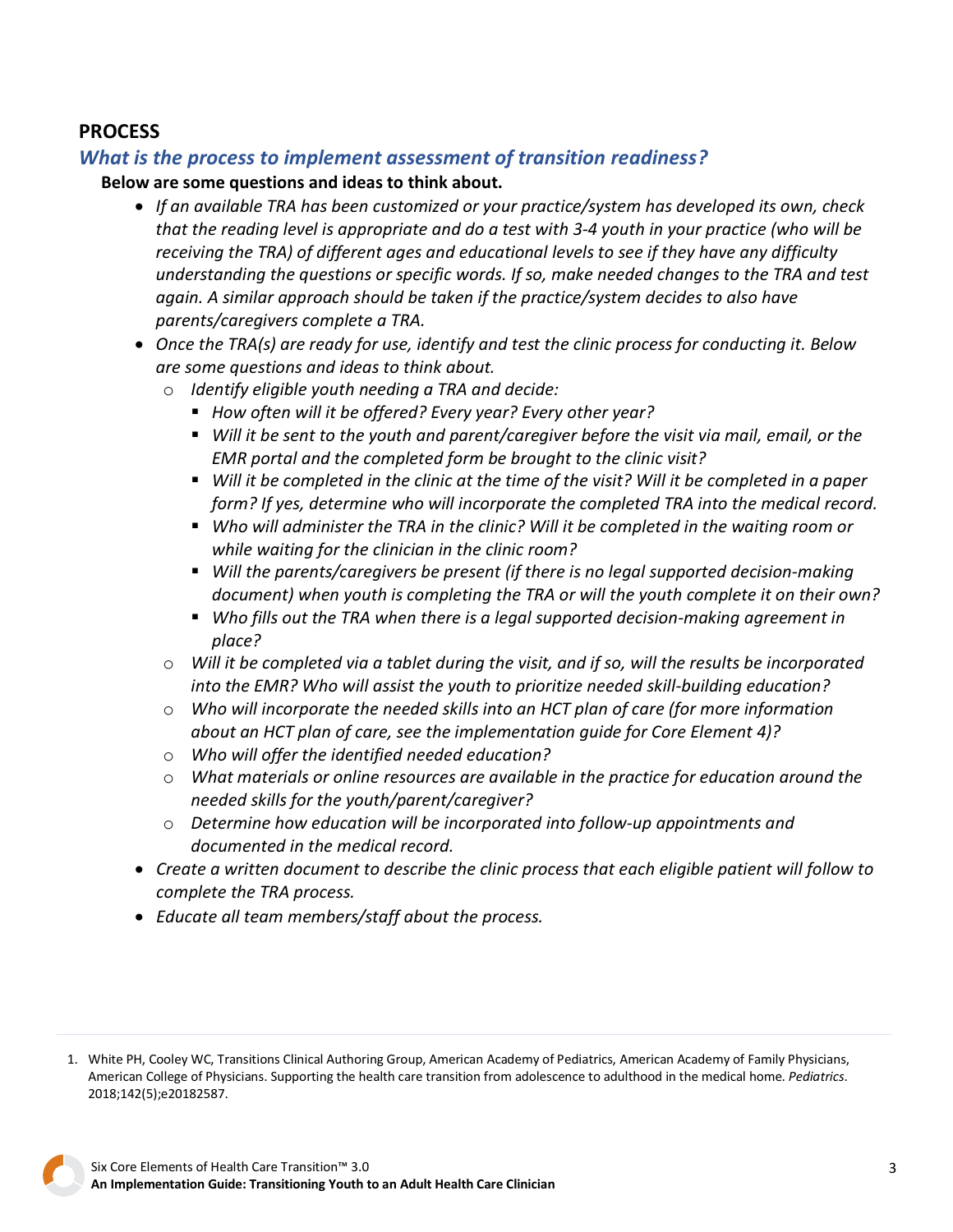#### **PROCESS**

#### *What is the process to implement assessment of transition readiness?*

#### **Below are some questions and ideas to think about.**

- *If an available TRA has been customized or your practice/system has developed its own, check* that the reading level is appropriate and do a test with 3-4 youth in your practice (who will be *receiving the TRA) of different ages and educational levels to see if they have any difficulty understanding the questions or specific words. If so, make needed changes to the TRA and test again. A similar approach should be taken if the practice/system decides to also have parents/caregivers complete a TRA.*
- *Once the TRA(s) are ready for use, identify and test the clinic process for conducting it. Below are some questions and ideas to think about.*
	- o *Identify eligible youth needing a TRA and decide:*
		- *How often will it be offered? Every year? Every other year?*
		- *Will it be sent to the youth and parent/caregiver before the visit via mail, email, or the EMR portal and the completed form be brought to the clinic visit?*
		- Will it be completed in the clinic at the time of the visit? Will it be completed in a paper *form? If yes, determine who will incorporate the completed TRA into the medical record.*
		- *Who will administer the TRA in the clinic? Will it be completed in the waiting room or while waiting for the clinician in the clinic room?*
		- *Will the parents/caregivers be present (if there is no legal supported decision-making document) when youth is completing the TRA or will the youth complete it on their own?*
		- *Who fills out the TRA when there is a legal supported decision-making agreement in place?*
	- o *Will it be completed via a tablet during the visit, and if so, will the results be incorporated into the EMR? Who will assist the youth to prioritize needed skill-building education?*
	- o *Who will incorporate the needed skills into an HCT plan of care (for more information about an HCT plan of care, see the implementation guide for Core Element 4)?*
	- o *Who will offer the identified needed education?*
	- o *What materials or online resources are available in the practice for education around the needed skills for the youth/parent/caregiver?*
	- o *Determine how education will be incorporated into follow-up appointments and documented in the medical record.*
- *Create a written document to describe the clinic process that each eligible patient will follow to complete the TRA process.*
- *Educate all team members/staff about the process.*

<sup>1.</sup> White PH, Cooley WC, Transitions Clinical Authoring Group, American Academy of Pediatrics, American Academy of Family Physicians, American College of Physicians. Supporting the health care transition from adolescence to adulthood in the medical home. *Pediatrics*. 2018;142(5);e20182587.

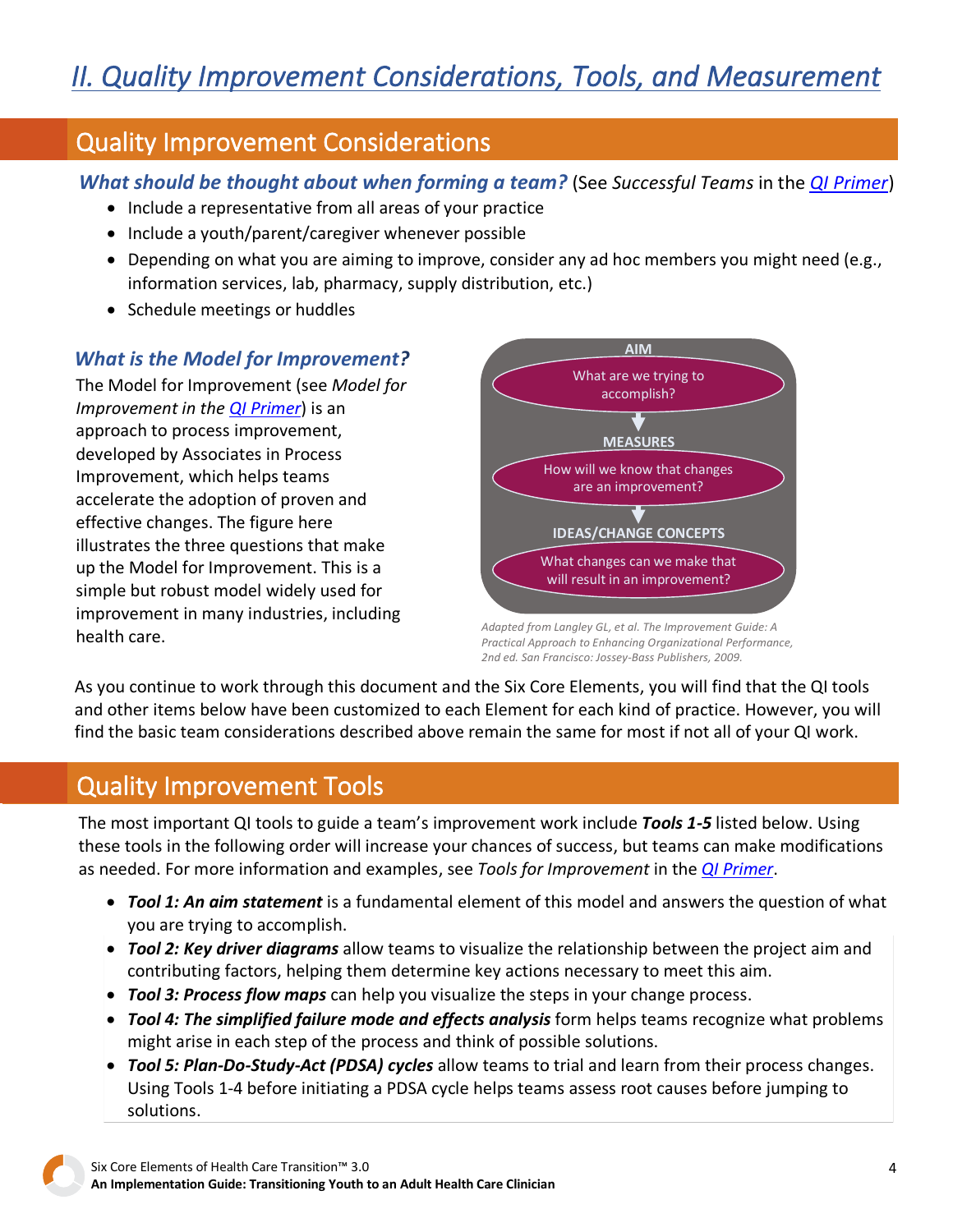## <span id="page-3-0"></span>Quality Improvement Considerations

*What should be thought about when forming a team?* (See *Successful Teams* in the *[QI Primer](https://gottransition.org/6ce/quality-improvement-primer)*)

- Include a representative from all areas of your practice
- Include a youth/parent/caregiver whenever possible
- Depending on what you are aiming to improve, consider any ad hoc members you might need (e.g., information services, lab, pharmacy, supply distribution, etc.)
- Schedule meetings or huddles

#### *What is the Model for Improvement?*

The Model for Improvement (see *Model for Improvement in the [QI Primer](https://gottransition.org/6ce/quality-improvement-primer)*) is an approach to process improvement, developed by Associates in Process Improvement, which helps teams accelerate the adoption of proven and effective changes. The figure here illustrates the three questions that make up the Model for Improvement. This is a simple but robust model widely used for improvement in many industries, including health care.



*Adapted from Langley GL, et al. The Improvement Guide: A Practical Approach to Enhancing Organizational Performance, 2nd ed. San Francisco: Jossey-Bass Publishers, 2009.*

As you continue to work through this document and the Six Core Elements, you will find that the QI tools and other items below have been customized to each Element for each kind of practice. However, you will find the basic team considerations described above remain the same for most if not all of your QI work.

## Quality Improvement Tools

The most important QI tools to guide a team's improvement work include *Tools 1-5* listed below. Using these tools in the following order will increase your chances of success, but teams can make modifications as needed. For more information and examples, see *Tools for Improvement* in the *[QI Primer](https://gottransition.org/6ce/quality-improvement-primer)*.

- *Tool 1: An aim statement* is a fundamental element of this model and answers the question of what you are trying to accomplish.
- *Tool 2: Key driver diagrams* allow teams to visualize the relationship between the project aim and contributing factors, helping them determine key actions necessary to meet this aim.
- *Tool 3: Process flow maps* can help you visualize the steps in your change process.
- *Tool 4: The simplified failure mode and effects analysis* form helps teams recognize what problems might arise in each step of the process and think of possible solutions.
- *Tool 5: Plan-Do-Study-Act (PDSA) cycles* allow teams to trial and learn from their process changes. Using Tools 1-4 before initiating a PDSA cycle helps teams assess root causes before jumping to solutions.

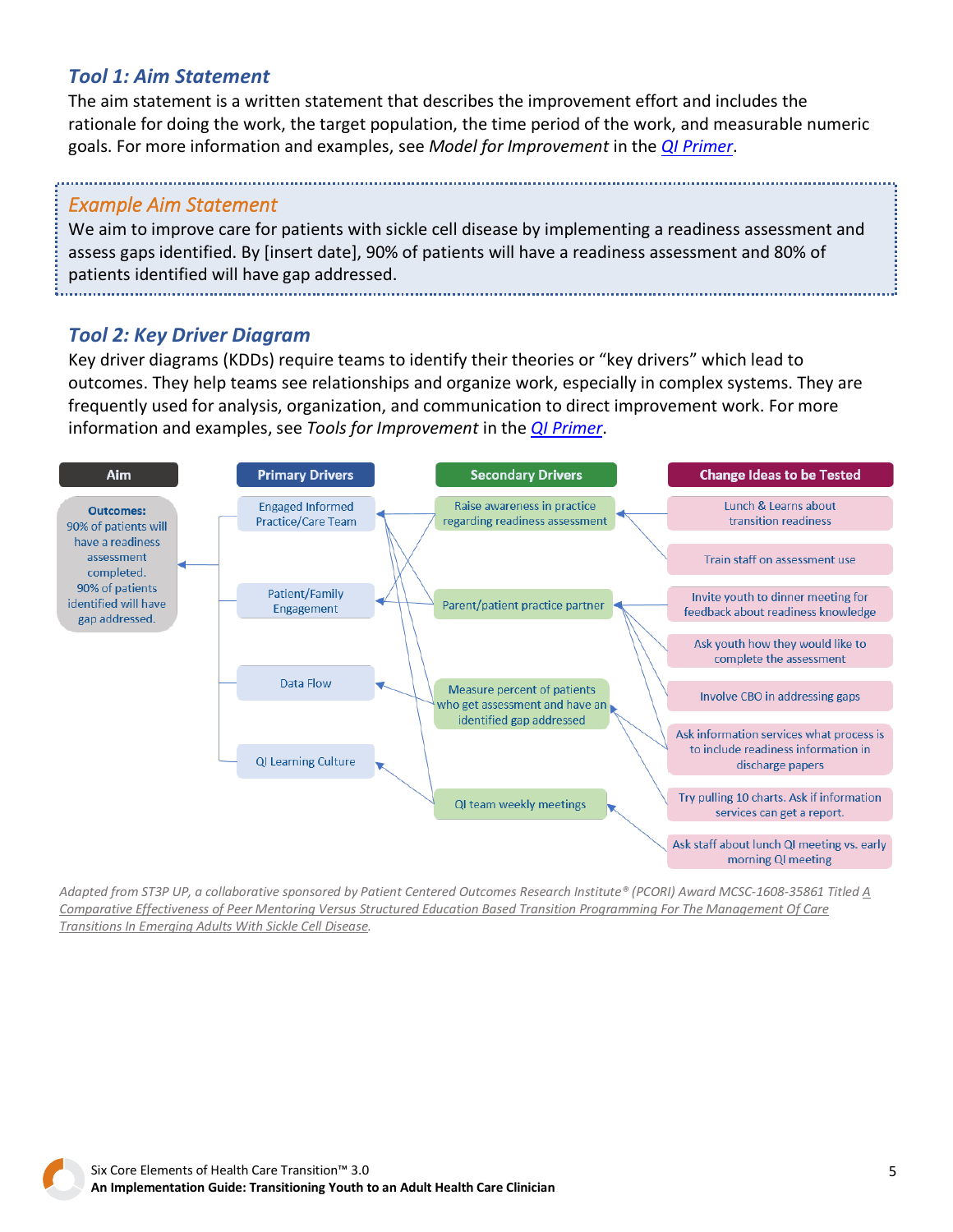#### *Tool 1: Aim Statement*

The aim statement is a written statement that describes the improvement effort and includes the rationale for doing the work, the target population, the time period of the work, and measurable numeric goals. For more information and examples, see *Model for Improvement* in the *[QI Primer](https://gottransition.org/6ce/quality-improvement-primer)*.

#### *Example Aim Statement*

We aim to improve care for patients with sickle cell disease by implementing a readiness assessment and assess gaps identified. By [insert date], 90% of patients will have a readiness assessment and 80% of patients identified will have gap addressed.

*Tool 2: Key Driver Diagram*

Key driver diagrams (KDDs) require teams to identify their theories or "key drivers" which lead to outcomes. They help teams see relationships and organize work, especially in complex systems. They are frequently used for analysis, organization, and communication to direct improvement work. For more information and examples, see *Tools for Improvement* in the *[QI Primer](https://gottransition.org/6ce/quality-improvement-primer)*.



Adapted from ST3P UP, a collaborative sponsored by Patient Centered Outcomes Research Institute® (PCORI) Award MCSC-1608-35861 Titled A Comparative Effectiveness of Peer Mentoring Versus Structured Education Based Transition [Programming](https://www.pcori.org/research-results/2017/comparing-transitional-care-teens-and-young-adults-sickle-cell-disease-and) For The Management Of Care *Transitions In Emerging Adults With Sickle Cell Disease.*

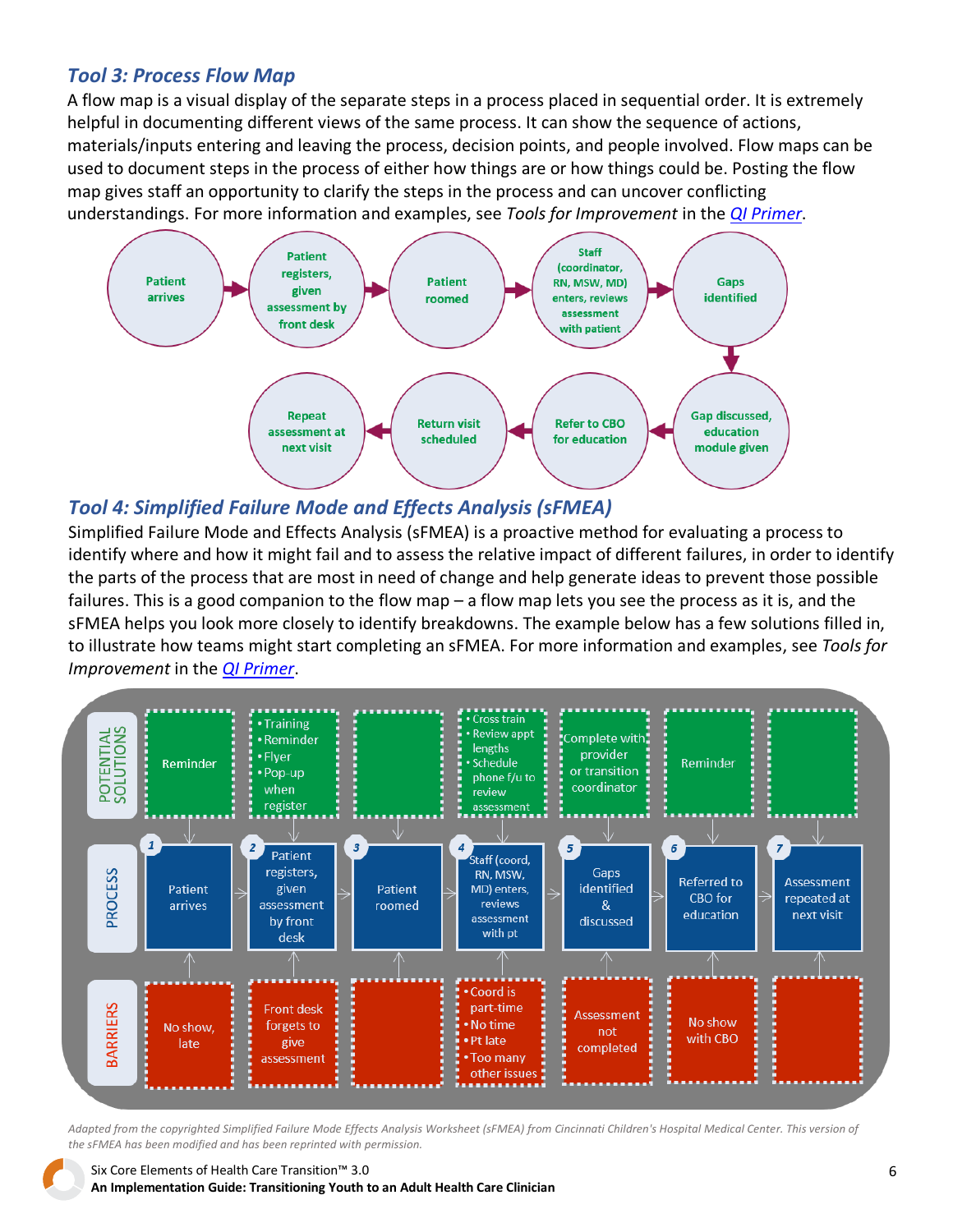#### *Tool 3: Process Flow Map*

A flow map is a visual display of the separate steps in a process placed in sequential order. It is extremely helpful in documenting different views of the same process. It can show the sequence of actions, materials/inputs entering and leaving the process, decision points, and people involved. Flow maps can be used to document steps in the process of either how things are or how things could be. Posting the flow map gives staff an opportunity to clarify the steps in the process and can uncover conflicting understandings. For more information and examples, see *Tools for Improvement* in the *[QI Primer](https://gottransition.org/6ce/quality-improvement-primer)*.



#### *Tool 4: Simplified Failure Mode and Effects Analysis (sFMEA)*

Simplified Failure Mode and Effects Analysis (sFMEA) is a proactive method for evaluating a process to identify where and how it might fail and to assess the relative impact of different failures, in order to identify the parts of the process that are most in need of change and help generate ideas to prevent those possible failures. This is a good companion to the flow map – a flow map lets you see the process as it is, and the sFMEA helps you look more closely to identify breakdowns. The example below has a few solutions filled in, to illustrate how teams might start completing an sFMEA. For more information and examples, see *Tools for Improvement* in the *[QI Primer](https://gottransition.org/6ce/quality-improvement-primer)*.



Adapted from the copyrighted Simplified Failure Mode Effects Analysis Worksheet (sFMEA) from Cincinnati Children's Hospital Medical Center. This version of *the sFMEA has been modified and has been reprinted with permission.*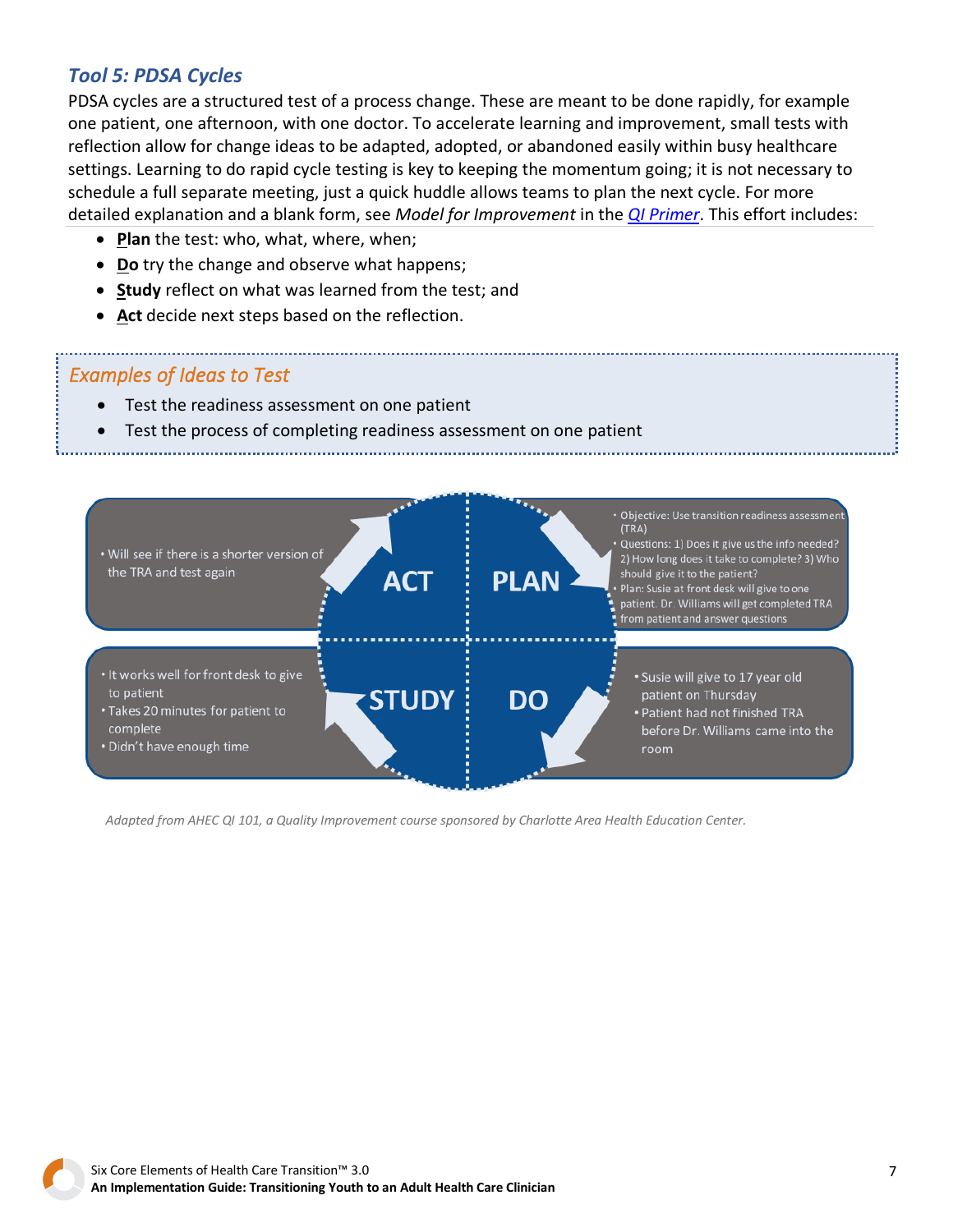#### *Tool 5: PDSA Cycles*

PDSA cycles are a structured test of a process change. These are meant to be done rapidly, for example one patient, one afternoon, with one doctor. To accelerate learning and improvement, small tests with reflection allow for change ideas to be adapted, adopted, or abandoned easily within busy healthcare settings. Learning to do rapid cycle testing is key to keeping the momentum going; it is not necessary to schedule a full separate meeting, just a quick huddle allows teams to plan the next cycle. For more detailed explanation and a blank form, see *Model for Improvement* in the *[QI Primer](https://gottransition.org/6ce/quality-improvement-primer)*. This effort includes:

- **Plan** the test: who, what, where, when;
- **Do** try the change and observe what happens;
- **Study** reflect on what was learned from the test; and
- **Act** decide next steps based on the reflection.

#### *Examples of Ideas to Test*

- Test the readiness assessment on one patient
- Test the process of completing readiness assessment on one patient



*Adapted from AHEC QI 101, a Quality Improvement course sponsored by Charlotte Area Health Education Center.*

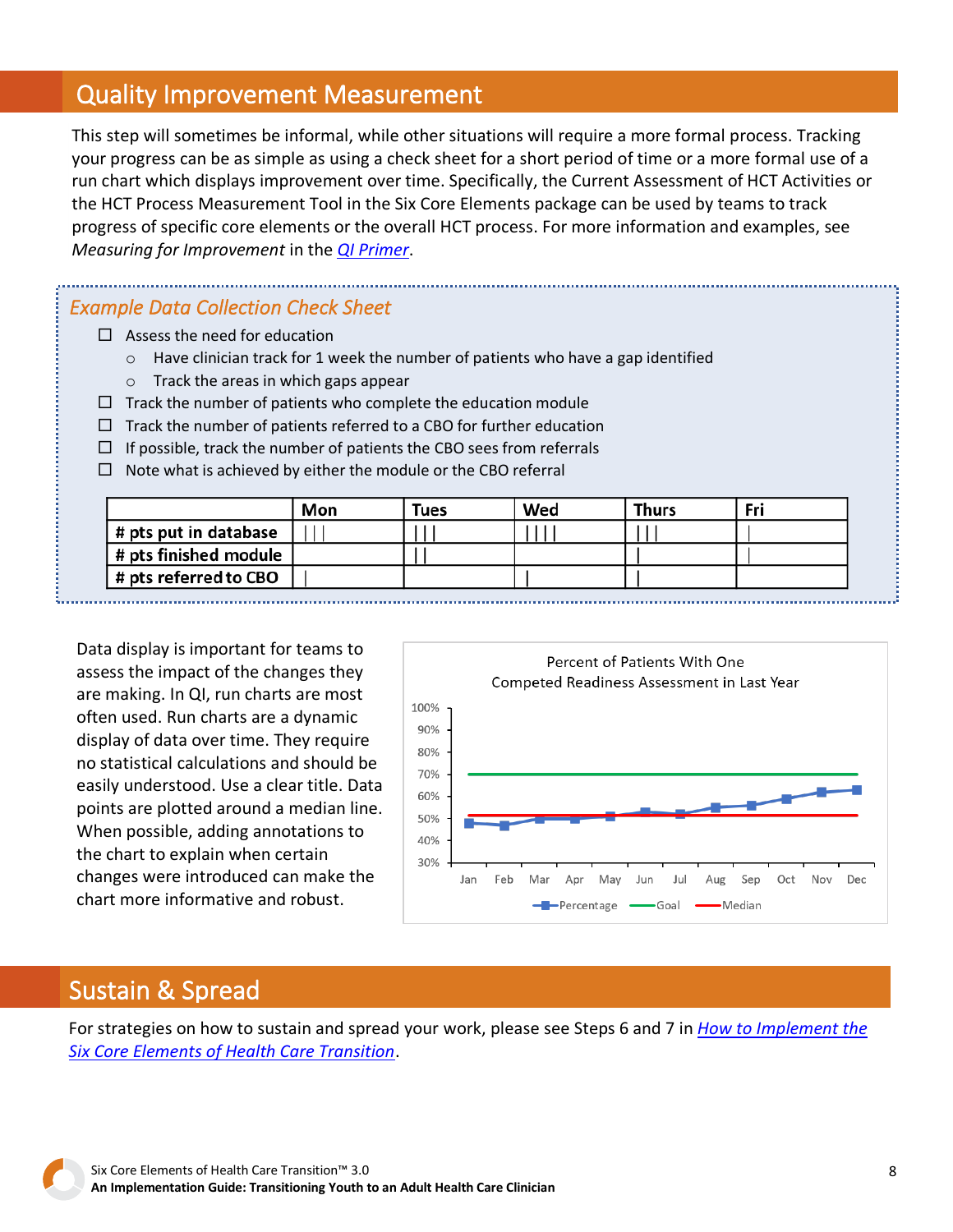## Quality Improvement Measurement

This step will sometimes be informal, while other situations will require a more formal process. Tracking your progress can be as simple as using a check sheet for a short period of time or a more formal use of a run chart which displays improvement over time. Specifically, the Current Assessment of HCT Activities or the HCT Process Measurement Tool in the Six Core Elements package can be used by teams to track progress of specific core elements or the overall HCT process. For more information and examples, see *Measuring for Improvement* in the *[QI Primer](https://gottransition.org/6ce/quality-improvement-primer)*.

#### *Example Data Collection Check Sheet*

- $\Box$  Assess the need for education
	- $\circ$  Have clinician track for 1 week the number of patients who have a gap identified
	- o Track the areas in which gaps appear
- $\Box$  Track the number of patients who complete the education module
- $\Box$  Track the number of patients referred to a CBO for further education
- $\Box$  If possible, track the number of patients the CBO sees from referrals
- $\Box$  Note what is achieved by either the module or the CBO referral

|                              | Mon | <b>Tues</b> | Wed | <b>Thurs</b> | Fri |
|------------------------------|-----|-------------|-----|--------------|-----|
| # pts put in database        |     |             |     |              |     |
| $\mid$ # pts finished module |     |             |     |              |     |
| # pts referred to CBO        |     |             |     |              |     |

Data display is important for teams to assess the impact of the changes they are making. In QI, run charts are most often used. Run charts are a dynamic display of data over time. They require no statistical calculations and should be easily understood. Use a clear title. Data points are plotted around a median line. When possible, adding annotations to the chart to explain when certain changes were introduced can make the chart more informative and robust.



### Sustain & Spread

For strategies on how to sustain and spread your work, please see Steps 6 and 7 in *[How to Implement the](https://gottransition.org/6ce/how-to-implement)  [Six Core Elements of Health Care Transition](https://gottransition.org/6ce/how-to-implement)*.

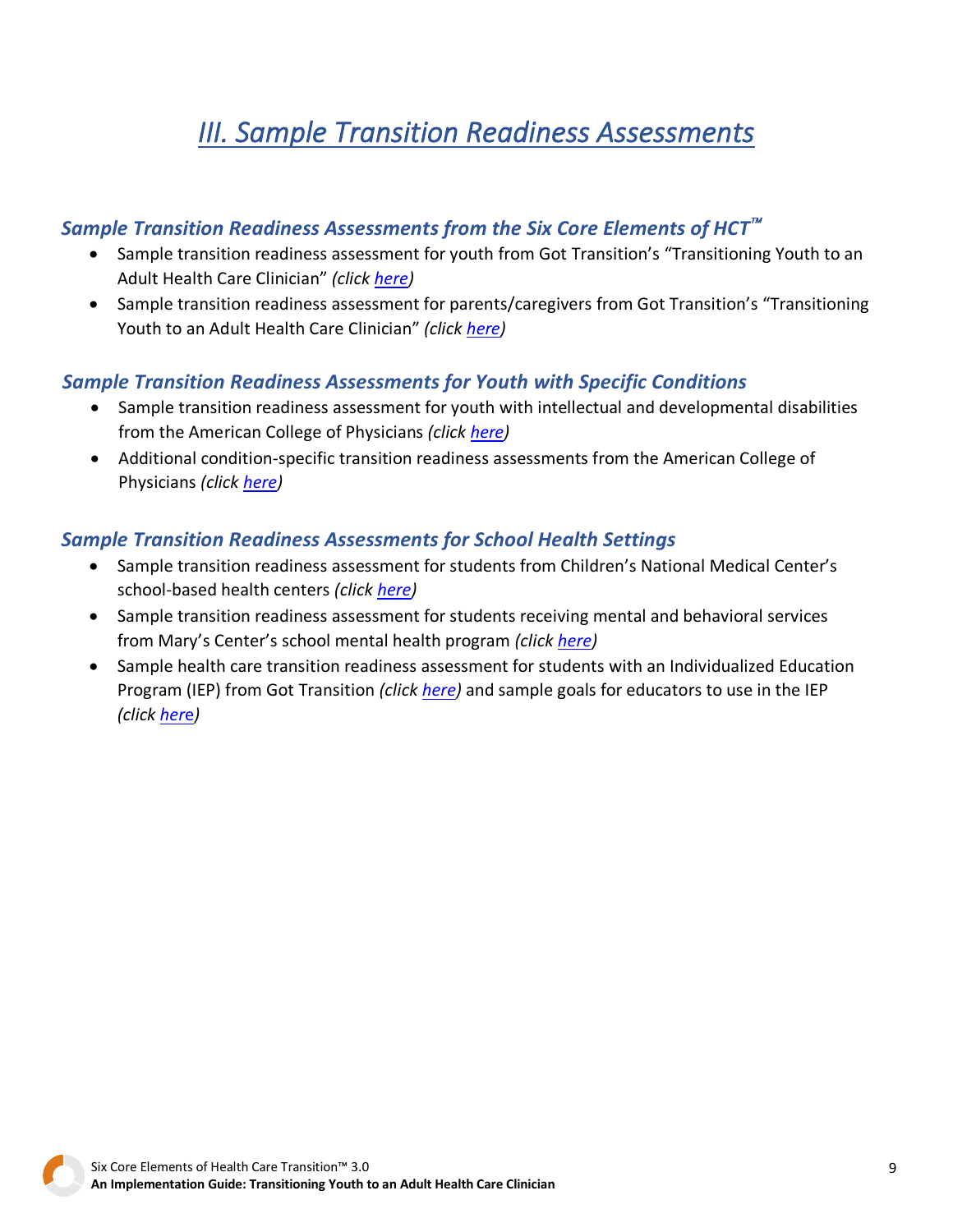# *III. Sample Transition Readiness Assessments*

#### <span id="page-8-0"></span>*Sample Transition Readiness Assessments from the Six Core Elements of HCT*

- Sample transition readiness assessment for youth from Got Transition's "Transitioning Youth to an Adult Health Care Clinician" *(click [here\)](https://gottransition.org/6ce/leaving-readiness-assessment-youth)*
- Sample transition readiness assessment for parents/caregivers from Got Transition's "Transitioning Youth to an Adult Health Care Clinician" *(click [here\)](https://gottransition.org/6ce/leaving-readiness-assessment-parent)*

#### *Sample Transition Readiness Assessments for Youth with Specific Conditions*

- Sample transition readiness assessment for youth with intellectual and developmental disabilities from the American College of Physicians *(click [here\)](https://www.acponline.org/system/files/documents/clinical_information/high_value_care/clinician_resources/pediatric_adult_care_transitions/gim_dd/idd_transitions_tools.pdf)*
- Additional condition-specific transition readiness assessments from the American College of Physicians *(click [here\)](https://www.acponline.org/clinical-information/high-value-care/resources-for-clinicians/pediatric-to-adult-care-transitions-initiative/condition-specific-tools)*

#### *Sample Transition Readiness Assessments for School Health Settings*

- Sample transition readiness assessment for students from Children's National Medical Center's school-based health centers *(click [here\)](https://gottransition.org/resource/sample-TRA-SBHC-ChildrensNational)*
- Sample transition readiness assessment for students receiving mental and behavioral services from Mary's Center's school mental health program *(click [here\)](https://gottransition.org/resource/sample-TRA-MentalHealth-MarysCenter)*
- Sample health care transition readiness assessment for students with an Individualized Education Program (IEP) from Got Transition *(click [here\)](https://gottransition.org/resourceGet.cfm?id=526)* and sample goals for educators to use in the IEP *(clic[k her](https://gottransition.org/resourceGet.cfm?id=528)*e*)*